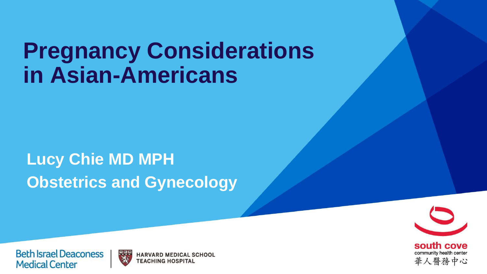# **Pregnancy Considerations in Asian-Americans**

#### **Obstetrics and Gynecology Lucy Chie MD MPH**



**Beth Israel Deaconess Medical Center** 

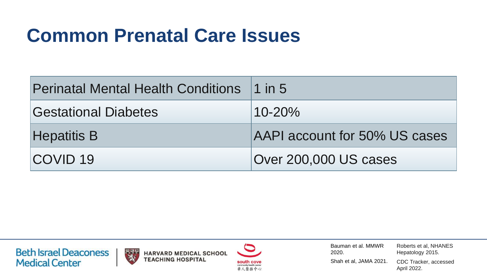### **Common Prenatal Care Issues**

| <b>Perinatal Mental Health Conditions</b> 1 in 5 |                               |
|--------------------------------------------------|-------------------------------|
| Gestational Diabetes                             | $10 - 20\%$                   |
| <b>Hepatitis B</b>                               | AAPI account for 50% US cases |
| <b>COVID 19</b>                                  | Over 200,000 US cases         |

**Beth Israel Deaconess Medical Center** 



**HARVARD MEDICAL SCHOOL TEACHING HOSPITAL** 



Bauman et al. MMWR 2020. Shah et al, JAMA 2021.

Roberts et al, NHANES Hepatology 2015. CDC Tracker, accessed April 2022.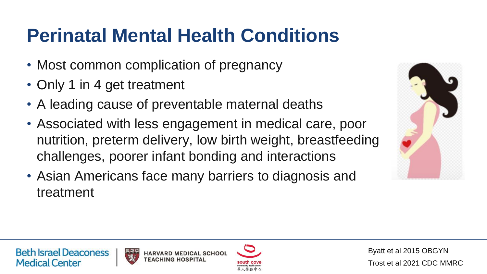## **Perinatal Mental Health Conditions**

- Most common complication of pregnancy
- Only 1 in 4 get treatment
- A leading cause of preventable maternal deaths
- Associated with less engagement in medical care, poor nutrition, preterm delivery, low birth weight, breastfeeding challenges, poorer infant bonding and interactions
- Asian Americans face many barriers to diagnosis and treatment



**Beth Israel Deaconess Medical Center** 



**HARVARD ME** 



Byatt et al 2015 OBGYN Trost et al 2021 CDC MMRC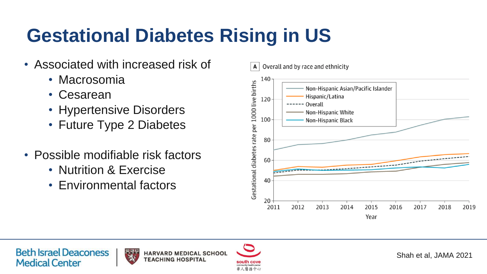## **Gestational Diabetes Rising in US**

- Associated with increased risk of
	- Macrosomia
	- Cesarean
	- Hypertensive Disorders
	- Future Type 2 Diabetes
- Possible modifiable risk factors
	- Nutrition & Exercise
	- Environmental factors

Overall and by race and ethnicity A





**HARVARD MEDICAL SCHOOL EACHING HOSPITA** 



Shah et al, JAMA 2021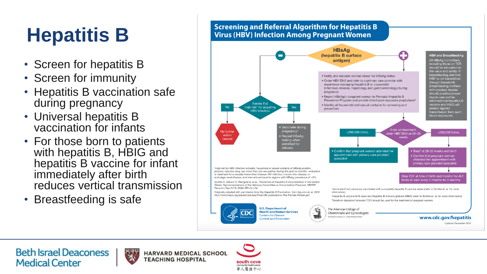# **Hepatitis B**

- Screen for hepatitis B
- Screen for immunity
- Hepatitis B vaccination safe during pregnancy
- Universal hepatitis B vaccination for infants
- For those born to patients with hepatitis B, HBIG and hepatitis B vaccine for infant immediately after birth reduces vertical transmission
- Breastfeeding is safe

#### **Screening and Referral Algorithm for Hepatitis B Virus (HBV) Infection Among Pregnant Women**



**Beth Israel Deaconess Medical Center** 



**HARVARD MEDICAL SCHOOL TEACHING HOSPITAL** south cove community health cente

華人醫務中心